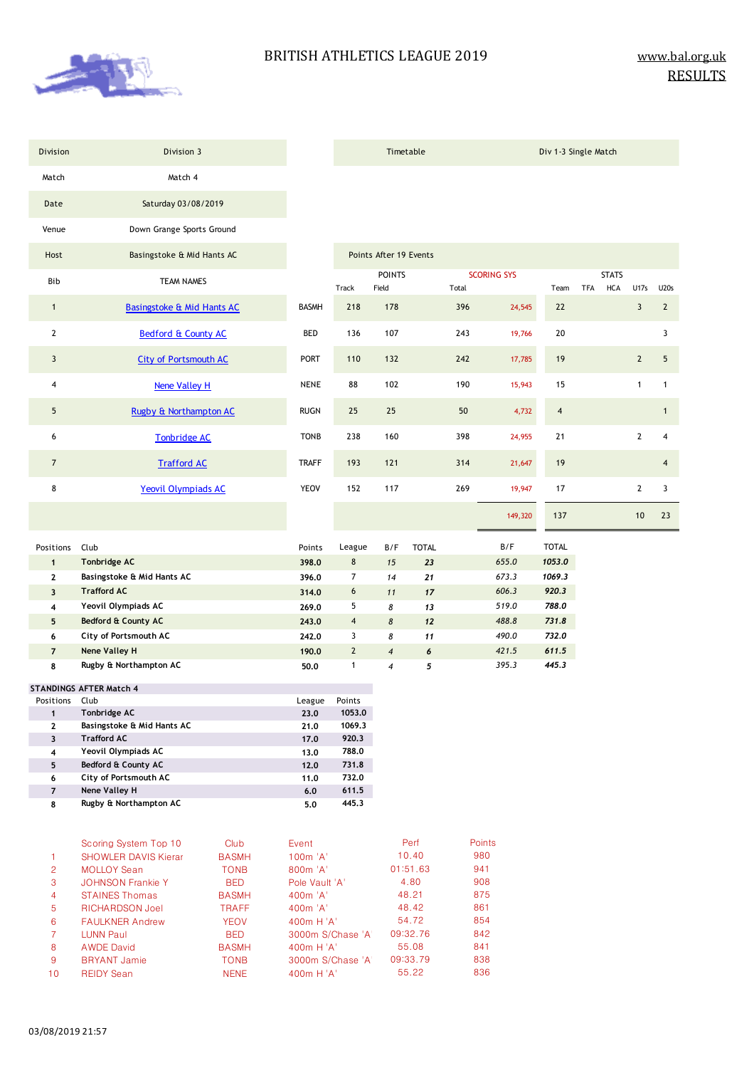

| Division                                   | Division 3                                                                 |                                     |                               |                 | Timetable                |                           |                      |                    | Div 1-3 Single Match    |            |              |                |                |
|--------------------------------------------|----------------------------------------------------------------------------|-------------------------------------|-------------------------------|-----------------|--------------------------|---------------------------|----------------------|--------------------|-------------------------|------------|--------------|----------------|----------------|
| Match                                      | Match 4                                                                    |                                     |                               |                 |                          |                           |                      |                    |                         |            |              |                |                |
| Date                                       | Saturday 03/08/2019                                                        |                                     |                               |                 |                          |                           |                      |                    |                         |            |              |                |                |
| Venue                                      | Down Grange Sports Ground                                                  |                                     |                               |                 |                          |                           |                      |                    |                         |            |              |                |                |
| Host                                       | Basingstoke & Mid Hants AC                                                 |                                     |                               |                 | Points After 19 Events   |                           |                      |                    |                         |            |              |                |                |
|                                            |                                                                            |                                     |                               |                 | <b>POINTS</b>            |                           |                      | <b>SCORING SYS</b> |                         |            | <b>STATS</b> |                |                |
| Bib                                        | <b>TEAM NAMES</b>                                                          |                                     |                               | Track           | Field                    |                           | Total                |                    | Team                    | <b>TFA</b> | <b>HCA</b>   | U17s           | <b>U20s</b>    |
| $\mathbf{1}$                               | <b>Basingstoke &amp; Mid Hants AC</b>                                      |                                     | <b>BASMH</b>                  | 218             | 178                      |                           | 396                  | 24,545             | 22                      |            |              | $\mathbf{3}$   | $\overline{2}$ |
| $\mathbf{2}$                               | <b>Bedford &amp; County AC</b>                                             |                                     | BED                           | 136             | 107                      |                           | 243                  | 19,766             | 20                      |            |              |                | 3              |
| 3                                          | <b>City of Portsmouth AC</b>                                               |                                     | <b>PORT</b>                   | 110             | 132                      |                           | 242                  | 17,785             | 19                      |            |              | $\overline{2}$ | 5              |
| 4                                          | Nene Valley H                                                              |                                     | <b>NENE</b>                   | 88              | 102                      |                           | 190                  | 15,943             | 15                      |            |              | $\mathbf{1}$   | $\mathbf{1}$   |
| 5                                          | Rugby & Northampton AC                                                     |                                     | <b>RUGN</b>                   | 25              | 25                       |                           | 50                   | 4,732              | $\overline{\mathbf{4}}$ |            |              |                | 1              |
| 6                                          | <b>Tonbridge AC</b>                                                        |                                     | <b>TONB</b>                   | 238             | 160                      |                           | 398                  | 24,955             | 21                      |            |              | $\mathbf{2}$   | 4              |
| $\overline{7}$                             | <b>Trafford AC</b>                                                         |                                     | <b>TRAFF</b>                  | 193             | 121                      |                           | 314                  | 21,647             | 19                      |            |              |                | $\overline{4}$ |
| 8                                          | Yeovil Olympiads AC                                                        |                                     | <b>YEOV</b>                   | 152             | 117                      |                           | 269                  | 19,947             | 17                      |            |              | $\mathbf{2}$   | 3              |
|                                            |                                                                            |                                     |                               |                 |                          |                           |                      | 149,320            | 137                     |            |              | 10             | 23             |
| Positions                                  | Club                                                                       |                                     | Points                        | League          | B/F                      | <b>TOTAL</b>              |                      | B/F                | <b>TOTAL</b>            |            |              |                |                |
|                                            |                                                                            |                                     |                               |                 |                          |                           |                      |                    |                         |            |              |                |                |
| $\mathbf{1}$                               | Tonbridge AC                                                               |                                     | 398.0                         | $\bf 8$         | 15                       | 23                        |                      | 655.0              | 1053.0                  |            |              |                |                |
| $\mathbf{2}$                               | Basingstoke & Mid Hants AC                                                 |                                     | 396.0                         | $\overline{7}$  | 14                       | 21                        |                      | 673.3              | 1069.3                  |            |              |                |                |
| $\overline{\mathbf{3}}$                    | <b>Trafford AC</b>                                                         |                                     | 314.0                         | $6\phantom{.}6$ | 11                       | 17                        |                      | 606.3              | 920.3                   |            |              |                |                |
| 4                                          | Yeovil Olympiads AC                                                        |                                     | 269.0                         | 5               | 8                        | 13                        |                      | 519.0              | 788.0                   |            |              |                |                |
| 5                                          | Bedford & County AC                                                        |                                     | 243.0                         | $\overline{4}$  | 8                        | 12                        |                      | 488.8              | 731.8                   |            |              |                |                |
| 6                                          | City of Portsmouth AC                                                      |                                     | 242.0                         | 3               | 8                        | 11                        |                      | 490.0              | 732.0                   |            |              |                |                |
| $\overline{7}$                             | Nene Valley H                                                              |                                     | 190.0                         | $\overline{2}$  | $\overline{\mathcal{A}}$ | 6                         |                      | 421.5              | 611.5                   |            |              |                |                |
| 8                                          | Rugby & Northampton AC                                                     |                                     | 50.0                          | $\mathbf{1}$    | $\overline{\mathcal{A}}$ | 5                         |                      | 395.3              | 445.3                   |            |              |                |                |
|                                            | <b>STANDINGS AFTER Match 4</b>                                             |                                     |                               |                 |                          |                           |                      |                    |                         |            |              |                |                |
| Positions Club                             |                                                                            |                                     | League                        | Points          |                          |                           |                      |                    |                         |            |              |                |                |
| $\mathbf{1}$                               | Tonbridge AC                                                               |                                     | 23.0                          | 1053,0          |                          |                           |                      |                    |                         |            |              |                |                |
| $\mathbf{2}$                               | Basingstoke & Mid Hants AC                                                 |                                     | 21.0                          | 1069.3          |                          |                           |                      |                    |                         |            |              |                |                |
| 3                                          | <b>Trafford AC</b>                                                         |                                     | 17.0                          | 920.3           |                          |                           |                      |                    |                         |            |              |                |                |
| $\overline{\mathbf{4}}$<br>$5\phantom{.0}$ | Yeovil Olympiads AC<br>Bedford & County AC                                 |                                     | 13.0                          | 788.0<br>731.8  |                          |                           |                      |                    |                         |            |              |                |                |
| 6                                          | City of Portsmouth AC                                                      |                                     | 12.0<br>11.0                  | 732.0           |                          |                           |                      |                    |                         |            |              |                |                |
| $\overline{7}$                             | Nene Valley H                                                              |                                     | 6.0                           | 611.5           |                          |                           |                      |                    |                         |            |              |                |                |
| 8                                          | Rugby & Northampton AC                                                     |                                     | 5.0                           | 445.3           |                          |                           |                      |                    |                         |            |              |                |                |
| $\mathbf{1}$<br>$\overline{c}$             | Scoring System Top 10<br><b>SHOWLER DAVIS Kierar</b><br><b>MOLLOY</b> Sean | Club<br><b>BASMH</b><br><b>TONB</b> | Event<br>100m 'A'<br>800m 'A' |                 |                          | Perf<br>10.40<br>01:51.63 | Points<br>980<br>941 |                    |                         |            |              |                |                |
| 3                                          | <b>JOHNSON Frankie Y</b>                                                   | <b>BED</b>                          | Pole Vault 'A'                |                 |                          | 4.80                      | 908                  |                    |                         |            |              |                |                |
| 4                                          | <b>STAINES Thomas</b>                                                      | <b>BASMH</b>                        | 400m 'A'                      |                 |                          | 48.21                     | 875                  |                    |                         |            |              |                |                |
| 5                                          | RICHARDSON Joel                                                            | TRAFF                               | 400m 'A'                      |                 |                          | 48.42                     | 861                  |                    |                         |            |              |                |                |
| 6                                          | <b>FAULKNER Andrew</b>                                                     | <b>YEOV</b>                         | 400m H 'A'                    |                 |                          | 54.72                     | 854                  |                    |                         |            |              |                |                |
| $\overline{7}$                             | <b>LUNN Paul</b>                                                           | <b>BED</b>                          | 3000m S/Chase 'A'             |                 |                          | 09:32.76                  | 842                  |                    |                         |            |              |                |                |
| 8                                          | <b>AWDE David</b>                                                          | <b>BASMH</b>                        | 400m H 'A'                    |                 |                          | 55.08                     | 841                  |                    |                         |            |              |                |                |

55.22 836

9 BRYANT Jamie TONB 3000m S/Chase 'A' 09:33.79 838

10 REIDY Sean NENE 400m H 'A'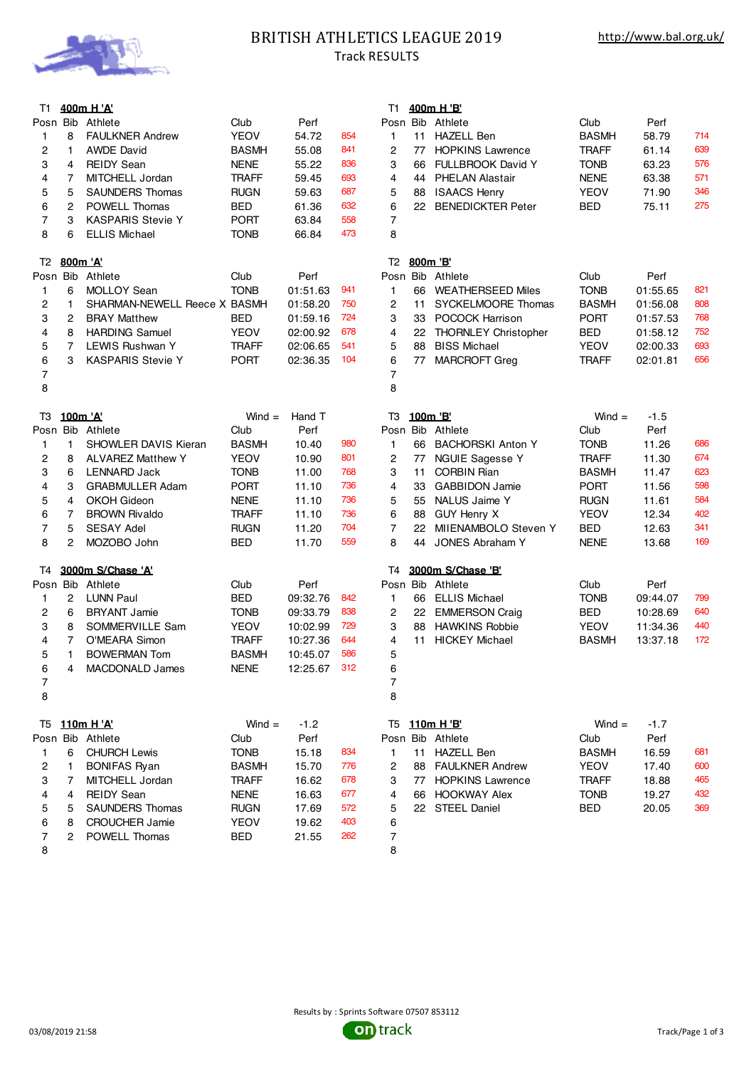

### BRITISH ATHLETICS LEAGUE 2019 Track RESULTS

### T1 **400m H 'A'** T1 **400m H 'B'** Posn Bib Athlete Club Perf Posn Bib Athlete Club Perf 8 FAULKNER Andrew YEOV 54.72 854 1 11 HAZELL Ben BASMH 58.79 714 1 AWDE David BASMH 55.08 841 2 77 HOPKINS Lawrence TRAFF 61.14 639 4 REIDY Sean NENE 55.22 836 3 66 FULLBROOK David Y TONB 63.23 576 4 7 MITCHELL Jordan TRAFF 59.45 693 4 44 PHELAN Alastair NENE 63.38 571 5 SAUNDERS Thomas RUGN 59.63 687 5 88 ISAACS Henry YEOV 71.90 346 2 POWELL Thomas BED 61.36 632 6 22 BENEDICKTER Peter BED 75.11 275 3 KASPARIS Stevie Y PORT 63.84 558 7 6 ELLIS Michael TONB 66.84 473 8 T2 **800m 'A'** T2 **800m 'B'** Posn Bib Athlete **Club** Perf Posn Bib Athlete Club Perf Posn Bib Athlete Club Perf Posn Bib Athlete Club Perf Perf<br>1 6 MOLLOY Sean TONB 01:51.63 941 1 66 WEATHERSEED Miles TONB 01:55 6 MOLLOY Sean TONB 01:51.63 941 1 66 WEATHERSEED Miles TONB 01:55.65 821 1 SHARMAN-NEWELL Reece X BASMH 01:58.20 750 2 11 SYCKELMOORE Thomas BASMH 01:56.08 808 2 BRAY Matthew BED 01:59.16 724 3 33 POCOCK Harrison PORT 01:57.53 768 8 HARDING Samuel YEOV 02:00.92 678 4 22 THORNLEY Christopher BED 01:58.12 752 7 LEWIS Rushwan Y TRAFF 02:06.65 541 5 88 BISS Michael YEOV 02:00.33 693 3 KASPARIS Stevie Y PORT 02:36.35 104 6 77 MARCROFT Greg TRAFF 02:01.81 656 7 8 T3 **100m 'A'** Wind = Hand T T3 **100m 'B'** Wind = -1.5 Posn Bib Athlete Club Perf Posn Bib Athlete Club Perf 1 SHOWLER DAVIS Kieran BASMH 10.40 980 1 66 BACHORSKI Anton Y TONB 11.26 686 2 8 ALVAREZ Matthew Y YEOV 10.90 801 2 77 NGUIE Sagesse Y TRAFF 11.30 674 6 LENNARD Jack TONB 11.00 768 3 11 CORBIN Rian BASMH 11.47 623 3 GRABMULLER Adam PORT 11.10 736 4 33 GABBIDON Jamie PORT 11.56 598 4 OKOH Gideon NENE 11.10 736 5 55 NALUS Jaime Y RUGN 11.61 584 7 BROWN Rivaldo TRAFF 11.10 736 6 88 GUY Henry X YEOV 12.34 402 5 SESAY Adel RUGN 11.20 704 7 22 MIIENAMBOLO Steven Y BED 12.63 341 2 MOZOBO John BED 11.70 559 8 44 JONES Abraham Y NENE 13.68 169 T4 **3000m S/Chase 'A'** T4 **3000m S/Chase 'B'** Posn Bib Athlete Club Perf Posn Bib Athlete Club Perf 2 LUNN Paul BED 09:32.76 842 1 66 ELLIS Michael TONB 09:44.07 799 6 BRYANT Jamie TONB 09:33.79 838 2 22 EMMERSON Craig BED 10:28.69 640 8 SOMMERVILLE Sam YEOV 10:02.99 729 3 88 HAWKINS Robbie YEOV 11:34.36 440 7 O'MEARA Simon TRAFF 10:27.36 644 4 11 HICKEY Michael BASMH 13:37.18 172 1 BOWERMAN Tom BASMH 10:45.07 586 5 4 MACDONALD James NENE 12:25.67 312 6 7 8 T5 **110m H 'A'** Wind = -1.2 T5 **110m H 'B'** Wind = -1.7 Posn Bib Athlete Club Perf Posn Bib Athlete Club Perf 1 6 CHURCH Lewis TONB 15.18 834 1 11 HAZELL Ben BASMH 16.59 681 1 BONIFAS Ryan BASMH 15.70 776 2 88 FAULKNER Andrew YEOV 17.40 600 7 MITCHELL Jordan TRAFF 16.62 678 3 77 HOPKINS Lawrence TRAFF 18.88 465 4 4 REIDY Sean **NENE** 16.63 677 4 66 HOOKWAY Alex **TONB** 19.27 432 5 SAUNDERS Thomas RUGN 17.69 572 5 22 STEEL Daniel BED 20.05 369 8 CROUCHER Jamie YEOV 19.62 403 6



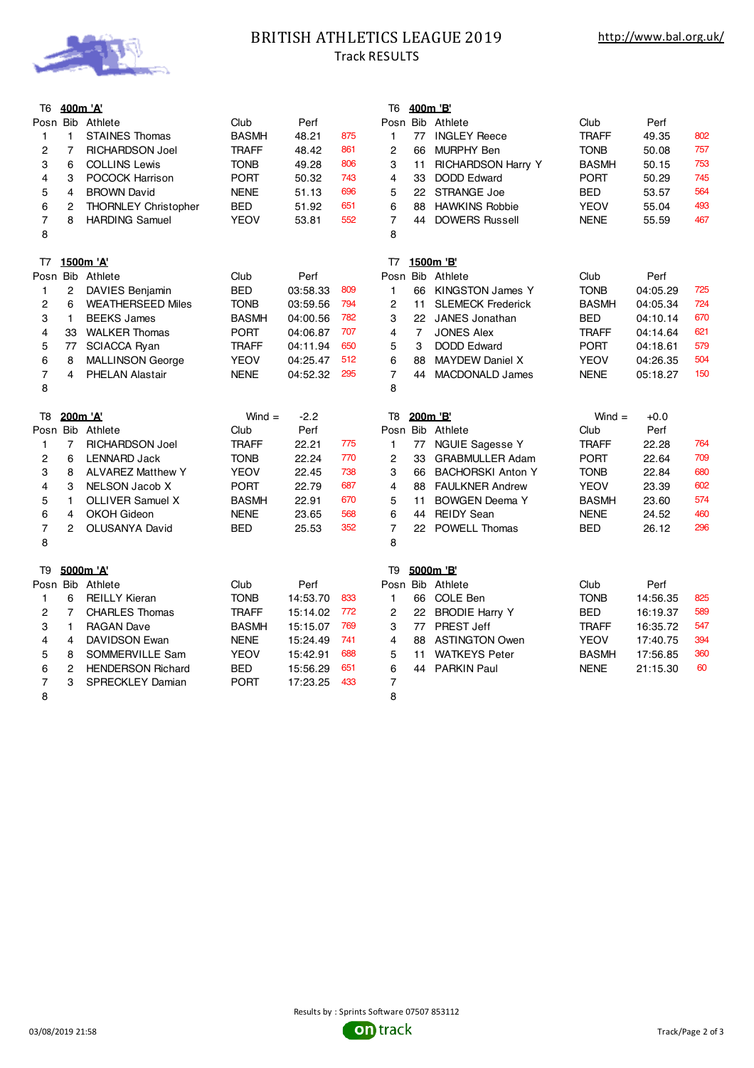

## BRITISH ATHLETICS LEAGUE 2019 Track RESULTS

| T6             | <u>400m 'A'</u> |                             |              |          |     | T6                      |                | 400m 'B'                  |              |          |     |
|----------------|-----------------|-----------------------------|--------------|----------|-----|-------------------------|----------------|---------------------------|--------------|----------|-----|
|                |                 | Posn Bib Athlete            | Club         | Perf     |     |                         |                | Posn Bib Athlete          | Club         | Perf     |     |
| $\mathbf{1}$   | $\mathbf{1}$    | <b>STAINES Thomas</b>       | <b>BASMH</b> | 48.21    | 875 | $\mathbf{1}$            |                | 77 INGLEY Reece           | <b>TRAFF</b> | 49.35    | 802 |
| 2              | $\overline{7}$  | <b>RICHARDSON Joel</b>      | <b>TRAFF</b> | 48.42    | 861 | 2                       | 66             | <b>MURPHY Ben</b>         | <b>TONB</b>  | 50.08    | 757 |
| 3              | 6               | <b>COLLINS Lewis</b>        | <b>TONB</b>  | 49.28    | 806 | 3                       | 11             | <b>RICHARDSON Harry Y</b> | <b>BASMH</b> | 50.15    | 753 |
| $\overline{4}$ | 3               | POCOCK Harrison             | <b>PORT</b>  | 50.32    | 743 | 4                       | 33             | <b>DODD Edward</b>        | <b>PORT</b>  | 50.29    | 745 |
| 5              | $\overline{4}$  | <b>BROWN David</b>          | <b>NENE</b>  | 51.13    | 696 | 5                       |                | 22 STRANGE Joe            | BED          | 53.57    | 564 |
| $\,6$          | 2               | <b>THORNLEY Christopher</b> | <b>BED</b>   | 51.92    | 651 | 6                       | 88             | <b>HAWKINS Robbie</b>     | <b>YEOV</b>  | 55.04    | 493 |
| $\overline{7}$ | 8               | <b>HARDING Samuel</b>       | <b>YEOV</b>  | 53.81    | 552 | $\overline{7}$          | 44             | <b>DOWERS Russell</b>     | <b>NENE</b>  | 55.59    | 467 |
| 8              |                 |                             |              |          |     | 8                       |                |                           |              |          |     |
| T7             |                 | 1500m 'A'                   |              |          |     | T7                      |                | 1500m 'B'                 |              |          |     |
|                |                 | Posn Bib Athlete            | Club         | Perf     |     |                         |                | Posn Bib Athlete          | Club         | Perf     |     |
| 1              | $\overline{c}$  | DAVIES Benjamin             | <b>BED</b>   | 03:58.33 | 809 | $\mathbf{1}$            | 66             | <b>KINGSTON James Y</b>   | <b>TONB</b>  | 04:05.29 | 725 |
| 2              | 6               | <b>WEATHERSEED Miles</b>    | <b>TONB</b>  | 03:59.56 | 794 | $\overline{c}$          | 11             | <b>SLEMECK Frederick</b>  | <b>BASMH</b> | 04:05.34 | 724 |
| 3              | $\mathbf{1}$    | <b>BEEKS James</b>          | <b>BASMH</b> | 04:00.56 | 782 | 3                       |                | 22 JANES Jonathan         | <b>BED</b>   | 04:10.14 | 670 |
| 4              | 33              | <b>WALKER Thomas</b>        | <b>PORT</b>  | 04:06.87 | 707 | 4                       | $\overline{7}$ | <b>JONES Alex</b>         | <b>TRAFF</b> | 04:14.64 | 621 |
| 5              |                 | 77 SCIACCA Ryan             | <b>TRAFF</b> | 04:11.94 | 650 | 5                       | 3              | <b>DODD Edward</b>        | <b>PORT</b>  | 04:18.61 | 579 |
| $\,6$          | 8               | <b>MALLINSON George</b>     | <b>YEOV</b>  | 04:25.47 | 512 | 6                       | 88             | <b>MAYDEW Daniel X</b>    | <b>YEOV</b>  | 04:26.35 | 504 |
| $\overline{7}$ | 4               | <b>PHELAN Alastair</b>      | <b>NENE</b>  | 04:52.32 | 295 | $\overline{7}$          | 44             | <b>MACDONALD James</b>    | <b>NENE</b>  | 05:18.27 | 150 |
| 8              |                 |                             |              |          |     | 8                       |                |                           |              |          |     |
|                |                 |                             |              |          |     |                         |                |                           |              |          |     |
| T8             |                 | 200m 'A'                    | $Wind =$     | $-2.2$   |     | T8                      |                | 200m 'B'                  | $Wind =$     | $+0.0$   |     |
|                |                 | Posn Bib Athlete            | Club         | Perf     |     |                         |                | Posn Bib Athlete          | Club         | Perf     |     |
| $\mathbf{1}$   | $\overline{7}$  | <b>RICHARDSON Joel</b>      | <b>TRAFF</b> | 22.21    | 775 | $\mathbf{1}$            |                | 77 NGUIE Sagesse Y        | <b>TRAFF</b> | 22.28    | 764 |
| 2              | 6               | <b>LENNARD Jack</b>         | <b>TONB</b>  | 22.24    | 770 | $\overline{c}$          | 33             | <b>GRABMULLER Adam</b>    | <b>PORT</b>  | 22.64    | 709 |
| 3              | 8               | <b>ALVAREZ Matthew Y</b>    | <b>YEOV</b>  | 22.45    | 738 | 3                       | 66             | <b>BACHORSKI Anton Y</b>  | <b>TONB</b>  | 22.84    | 680 |
| 4              | 3               | NELSON Jacob X              | <b>PORT</b>  | 22.79    | 687 | $\overline{\mathbf{4}}$ | 88             | <b>FAULKNER Andrew</b>    | <b>YEOV</b>  | 23.39    | 602 |
| 5              | $\mathbf{1}$    | <b>OLLIVER Samuel X</b>     | <b>BASMH</b> | 22.91    | 670 | 5                       | 11             | <b>BOWGEN Deema Y</b>     | <b>BASMH</b> | 23.60    | 574 |
| 6              | 4               | <b>OKOH Gideon</b>          | <b>NENE</b>  | 23.65    | 568 | 6                       | 44             | <b>REIDY Sean</b>         | <b>NENE</b>  | 24.52    | 460 |
| $\overline{7}$ | $\overline{2}$  | OLUSANYA David              | BED          | 25.53    | 352 | $\overline{7}$          |                | 22 POWELL Thomas          | BED          | 26.12    | 296 |
| 8              |                 |                             |              |          |     | 8                       |                |                           |              |          |     |
| T <sub>9</sub> |                 | 5000m 'A'                   |              |          |     | T9                      |                | 5000m 'B'                 |              |          |     |
|                |                 | Posn Bib Athlete            | Club         | Perf     |     |                         |                | Posn Bib Athlete          | Club         | Perf     |     |
| $\mathbf{1}$   | 6               | <b>REILLY Kieran</b>        | <b>TONB</b>  | 14:53.70 | 833 | $\mathbf{1}$            |                | 66 COLE Ben               | <b>TONB</b>  | 14:56.35 | 825 |
| $\overline{c}$ | $\overline{7}$  | <b>CHARLES Thomas</b>       | <b>TRAFF</b> | 15:14.02 | 772 | 2                       |                | 22 BRODIE Harry Y         | <b>BED</b>   | 16:19.37 | 589 |
| 3              | $\mathbf{1}$    | <b>RAGAN Dave</b>           | <b>BASMH</b> | 15:15.07 | 769 | 3                       | 77             | <b>PREST Jeff</b>         | <b>TRAFF</b> | 16:35.72 | 547 |
| 4              | 4               | DAVIDSON Ewan               | <b>NENE</b>  | 15:24.49 | 741 | $\overline{\mathbf{4}}$ | 88             | <b>ASTINGTON Owen</b>     | <b>YEOV</b>  | 17:40.75 | 394 |
| 5              | 8               | SOMMERVILLE Sam             | <b>YEOV</b>  | 15:42.91 | 688 | 5                       | 11             | <b>WATKEYS Peter</b>      | <b>BASMH</b> | 17:56.85 | 360 |
| 6              | $\mathbf{2}$    | <b>HENDERSON Richard</b>    | <b>BED</b>   | 15:56.29 | 651 | 6                       |                | 44 PARKIN Paul            | <b>NENE</b>  | 21:15.30 | 60  |
| 7<br>8         | 3               | <b>SPRECKLEY Damian</b>     | <b>PORT</b>  | 17:23.25 | 433 | $\overline{7}$<br>8     |                |                           |              |          |     |

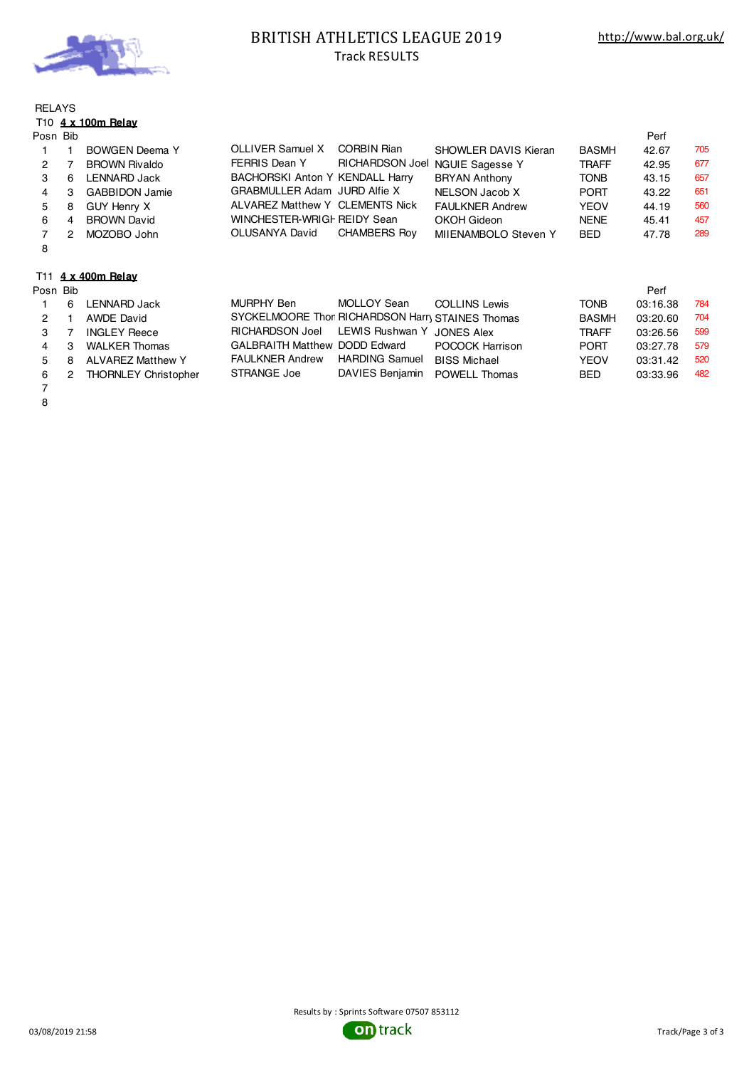

## BRITISH ATHLETICS LEAGUE 2019 Track RESULTS

# RELAYS T10 **4 x 100m Relay**

| Posn Bib |   |                       |                                 |                                 |                        |              | Perf  |     |
|----------|---|-----------------------|---------------------------------|---------------------------------|------------------------|--------------|-------|-----|
|          |   | <b>BOWGEN Deema Y</b> | OLLIVER Samuel X                | CORBIN Rian                     | SHOWLER DAVIS Kieran   | <b>BASMH</b> | 42.67 | 705 |
| 2        |   | <b>BROWN Rivaldo</b>  | FERRIS Dean Y                   | RICHARDSON Joel NGUIE Sagesse Y |                        | <b>TRAFF</b> | 42.95 | 677 |
|          | 6 | <b>LENNARD Jack</b>   | BACHORSKI Anton Y KENDALL Harry |                                 | <b>BRYAN Anthony</b>   | <b>TONB</b>  | 43.15 | 657 |
|          | 3 | <b>GABBIDON Jamie</b> | GRABMULLER Adam JURD Alfie X    |                                 | NELSON Jacob X         | <b>PORT</b>  | 43.22 | 651 |
| 5        | 8 | GUY Henry X           | ALVAREZ Matthew Y CLEMENTS Nick |                                 | <b>FAULKNER Andrew</b> | <b>YEOV</b>  | 44.19 | 560 |
| 6        | 4 | <b>BROWN David</b>    | WINCHESTER-WRIGH REIDY Sean     |                                 | OKOH Gideon            | <b>NENE</b>  | 45.41 | 457 |
|          | 2 | MOZOBO John           | OLUSANYA David                  | <b>CHAMBERS Rov</b>             | MIIENAMBOLO Steven Y   | <b>BED</b>   | 47.78 | 289 |
| 8        |   |                       |                                 |                                 |                        |              |       |     |
|          |   |                       |                                 |                                 |                        |              |       |     |
|          |   |                       |                                 |                                 |                        |              |       |     |

# T11 **4 x 400m Relay**

| Posn Bib       |     |                             |                                                 |                               |                      |              | Perf     |     |
|----------------|-----|-----------------------------|-------------------------------------------------|-------------------------------|----------------------|--------------|----------|-----|
|                | 6   | LENNARD Jack                | MURPHY Ben                                      | MOLLOY Sean                   | <b>COLLINS Lewis</b> | <b>TONB</b>  | 03:16.38 | 784 |
| $\mathcal{P}$  |     | AWDE David                  | SYCKELMOORE Thor RICHARDSON Harn STAINES Thomas |                               |                      | <b>BASMH</b> | 03:20.60 | 704 |
| 3              |     | <b>INGLEY Reece</b>         | RICHARDSON Joel LEWIS Rushwan Y JONES Alex      |                               |                      | <b>TRAFF</b> | 03:26.56 | 599 |
| 4              | -3  | <b>WALKER Thomas</b>        | <b>GALBRAITH Matthew DODD Edward</b>            |                               | POCOCK Harrison      | <b>PORT</b>  | 03:27.78 | 579 |
| 5 <sup>1</sup> | - 8 | <b>ALVAREZ Matthew Y</b>    | <b>FAULKNER Andrew</b>                          | <b>HARDING Samuel</b>         | <b>BISS Michael</b>  | <b>YEOV</b>  | 03:31.42 | 520 |
| 6              | 2   | <b>THORNLEY Christopher</b> | STRANGE Joe                                     | DAVIES Benjamin POWELL Thomas |                      | <b>BED</b>   | 03:33.96 | 482 |
|                |     |                             |                                                 |                               |                      |              |          |     |

7 8

03/08/2019 21:58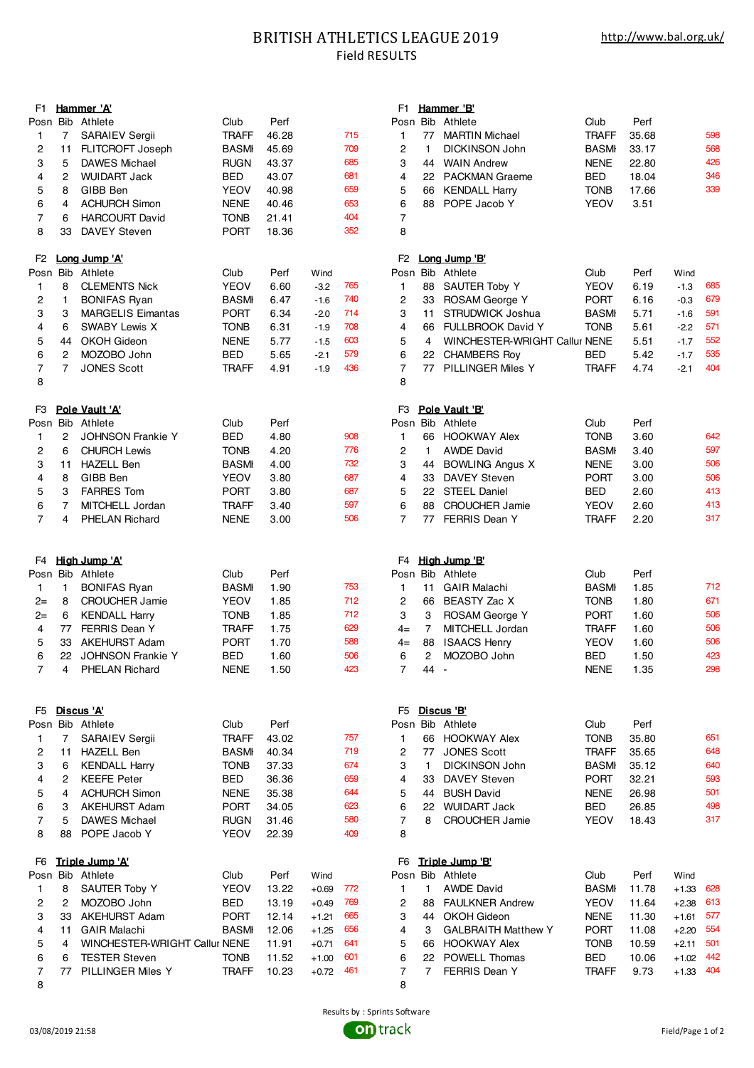### BRITISH ATHLETICS LEAGUE 2019 Field RESULTS

| F1.                 |                | Hammer 'A'                                |                             |                |         |            | F1                  |              | Hammer 'B'                        |                            |               |                        |            |
|---------------------|----------------|-------------------------------------------|-----------------------------|----------------|---------|------------|---------------------|--------------|-----------------------------------|----------------------------|---------------|------------------------|------------|
|                     |                | Posn Bib Athlete                          | Club                        | Perf           |         |            |                     |              | Posn Bib Athlete                  | Club                       | Perf          |                        |            |
| 1                   | 7              | <b>SARAIEV Sergii</b>                     | <b>TRAFF</b>                | 46.28          |         | 715        | 1                   | 77           | <b>MARTIN Michael</b>             | <b>TRAFF</b>               | 35.68         |                        | 598        |
| 2                   | 11             | FLITCROFT Joseph                          | <b>BASMI</b>                | 45.69          |         | 709        | $\overline{c}$      | $\mathbf{1}$ | DICKINSON John                    | <b>BASMI</b>               | 33.17         |                        | 568        |
| 3                   | 5              | <b>DAWES Michael</b>                      | <b>RUGN</b>                 | 43.37          |         | 685        | 3                   | 44           | <b>WAIN Andrew</b>                | <b>NENE</b>                | 22.80         |                        | 426        |
| 4                   | 2              | <b>WUIDART Jack</b>                       | <b>BED</b>                  | 43.07          |         | 681        | 4                   |              | 22 PACKMAN Graeme                 | <b>BED</b>                 | 18.04         |                        | 346        |
| 5                   | 8              | GIBB Ben                                  | <b>YEOV</b>                 | 40.98          |         | 659        | 5                   | 66           | <b>KENDALL Harry</b>              | <b>TONB</b>                | 17.66         |                        | 339        |
| 6                   | 4              | <b>ACHURCH Simon</b>                      | <b>NENE</b>                 | 40.46          |         | 653        | 6                   | 88           | POPE Jacob Y                      | <b>YEOV</b>                | 3.51          |                        |            |
| 7                   | 6              | <b>HARCOURT David</b>                     | <b>TONB</b>                 | 21.41          |         | 404        | 7                   |              |                                   |                            |               |                        |            |
| 8                   | 33             | <b>DAVEY Steven</b>                       | <b>PORT</b>                 | 18.36          |         | 352        | 8                   |              |                                   |                            |               |                        |            |
| F <sub>2</sub>      |                | Long Jump 'A'                             |                             |                |         |            | F <sub>2</sub>      |              | Long Jump 'B'                     |                            |               |                        |            |
|                     |                | Posn Bib Athlete                          | Club                        | Perf           | Wind    |            |                     |              | Posn Bib Athlete                  | Club                       | Perf          | Wind                   |            |
| $\mathbf{1}$        | 8              | <b>CLEMENTS Nick</b>                      | <b>YEOV</b>                 | 6.60           | $-3.2$  | 765        | 1                   | 88           | <b>SAUTER Toby Y</b>              | <b>YEOV</b>                | 6.19          | $-1.3$                 | 685        |
| 2                   | $\mathbf{1}$   | <b>BONIFAS Ryan</b>                       | <b>BASMI</b>                | 6.47           | $-1.6$  | 740        | $\overline{c}$      |              | 33 ROSAM George Y                 | <b>PORT</b>                | 6.16          | $-0.3$                 | 679        |
| 3                   | 3              | <b>MARGELIS Eimantas</b>                  | <b>PORT</b>                 | 6.34           | $-2.0$  | 714        | 3                   | 11           | STRUDWICK Joshua                  | <b>BASMI</b>               | 5.71          | $-1.6$                 | 591        |
| 4                   | 6              | <b>SWABY Lewis X</b>                      | <b>TONB</b>                 | 6.31           | $-1.9$  | 708        | 4                   | 66           | <b>FULLBROOK David Y</b>          | <b>TONB</b>                | 5.61          | $-2.2$                 | 571        |
| 5                   | 44             | OKOH Gideon                               | <b>NENE</b>                 | 5.77           | $-1.5$  | 603        | 5                   | 4            | WINCHESTER-WRIGHT Callur NENE     |                            | 5.51          | $-1.7$                 | 552        |
| 6                   | 2              | MOZOBO John                               | <b>BED</b>                  | 5.65           | $-2.1$  | 579        | 6                   |              | 22 CHAMBERS Roy                   | <b>BED</b>                 | 5.42          | $-1.7$                 | 535        |
| 7                   | $\overline{7}$ | <b>JONES Scott</b>                        | <b>TRAFF</b>                | 4.91           | $-1.9$  | 436        | $\overline{7}$      | 77           | PILLINGER Miles Y                 | <b>TRAFF</b>               | 4.74          | $-2.1$                 | 404        |
| 8                   |                |                                           |                             |                |         |            | 8                   |              |                                   |                            |               |                        |            |
| F <sub>3</sub>      |                | Pole Vault 'A'                            |                             |                |         |            | F3                  |              | Pole Vault 'B'                    |                            |               |                        |            |
|                     |                | Posn Bib Athlete                          | Club                        | Perf           |         |            |                     |              | Posn Bib Athlete                  | Club                       | Perf          |                        |            |
| 1                   | 2              | <b>JOHNSON Frankie Y</b>                  | <b>BED</b>                  | 4.80           |         | 908        | 1                   | 66           | <b>HOOKWAY Alex</b>               | <b>TONB</b>                | 3.60          |                        | 642        |
| $\overline{c}$      | 6              | <b>CHURCH Lewis</b>                       | <b>TONB</b>                 | 4.20           |         | 776        | $\overline{c}$      | $\mathbf{1}$ | <b>AWDE David</b>                 | <b>BASMI</b>               | 3.40          |                        | 597        |
| 3                   | 11             | <b>HAZELL Ben</b>                         | <b>BASMI</b>                | 4.00           |         | 732        | 3                   | 44           | <b>BOWLING Angus X</b>            | <b>NENE</b>                | 3.00          |                        | 506        |
| 4                   | 8              | GIBB Ben                                  | YEOV                        | 3.80           |         | 687        | 4                   | 33           | <b>DAVEY Steven</b>               | <b>PORT</b>                | 3.00          |                        | 506        |
| 5                   | 3              | <b>FARRES Tom</b>                         | <b>PORT</b>                 | 3.80           |         | 687        | 5                   | 22           | <b>STEEL Daniel</b>               | <b>BED</b>                 | 2.60          |                        | 413        |
|                     | $\overline{7}$ | MITCHELL Jordan                           |                             |                |         | 597        | 6                   | 88           | <b>CROUCHER Jamie</b>             | <b>YEOV</b>                |               |                        | 413        |
| 6<br>$\overline{7}$ |                |                                           | <b>TRAFF</b>                | 3.40           |         | 506        | $\overline{7}$      | 77           |                                   |                            | 2.60          |                        | 317        |
|                     | 4              | <b>PHELAN Richard</b>                     | <b>NENE</b>                 | 3.00           |         |            |                     |              | <b>FERRIS Dean Y</b>              | TRAFF                      | 2.20          |                        |            |
|                     |                |                                           |                             |                |         |            |                     |              |                                   |                            |               |                        |            |
|                     |                |                                           |                             |                |         |            |                     |              |                                   |                            |               |                        |            |
| F <sub>4</sub>      |                | High Jump 'A'                             |                             |                |         |            | F4                  |              | High Jump 'B'                     |                            |               |                        |            |
|                     |                | Posn Bib Athlete                          | Club                        | Perf           |         | 753        |                     |              | Posn Bib Athlete                  | Club                       | Perf          |                        |            |
| 1                   | $\mathbf{1}$   | <b>BONIFAS Ryan</b>                       | <b>BASMI</b>                | 1.90           |         |            | $\mathbf{1}$        | 11           | <b>GAIR Malachi</b>               | <b>BASMI</b>               | 1.85          |                        | 712<br>671 |
| $2 =$               | 8              | <b>CROUCHER Jamie</b>                     | <b>YEOV</b>                 | 1.85           |         | 712        | $\overline{c}$      | 66           | BEASTY Zac X                      | <b>TONB</b>                | 1.80          |                        |            |
| $2 =$               | 6              | <b>KENDALL Harry</b>                      | <b>TONB</b>                 | 1.85           |         | 712        | 3                   | 3            | <b>ROSAM George Y</b>             | <b>PORT</b>                | 1.60          |                        | 506        |
| 4                   | 77             | FERRIS Dean Y                             | <b>TRAFF</b>                | 1.75           |         | 629        | $4=$                | 7            | MITCHELL Jordan                   | <b>TRAFF</b>               | 1.60          |                        | 506        |
| 5                   | 33             | <b>AKEHURST Adam</b>                      | <b>PORT</b>                 | 1.70           |         | 588        | $4=$                | 88           | <b>ISAACS Henry</b>               | <b>YEOV</b>                | 1.60          |                        | 506        |
| 6<br>7              | 4              | 22 JOHNSON Frankie Y<br>PHELAN Richard    | BED<br><b>NENE</b>          | 1.60<br>1.50   |         | 506<br>423 | 6<br>$\overline{7}$ | 2<br>44 -    | MOZOBO John                       | BED<br><b>NENE</b>         | 1.50<br>1.35  |                        | 423<br>298 |
|                     |                |                                           |                             |                |         |            |                     |              |                                   |                            |               |                        |            |
| F5                  |                | <u>Discus 'A'</u>                         |                             |                |         |            |                     |              | F5 Discus 'B'                     |                            |               |                        |            |
|                     |                | Posn Bib Athlete                          | Club                        | Perf           |         |            |                     |              | Posn Bib Athlete                  | Club                       | Perf          |                        |            |
| 1                   | 7              | <b>SARAIEV Sergii</b>                     | <b>TRAFF</b>                | 43.02          |         | 757        | 1                   | 66           | <b>HOOKWAY Alex</b>               | <b>TONB</b>                | 35.80         |                        | 651        |
| 2                   | 11             | <b>HAZELL Ben</b>                         | <b>BASMI</b>                | 40.34          |         | 719        | 2                   | 77           | <b>JONES Scott</b>                | <b>TRAFF</b>               | 35.65         |                        | 648        |
| 3                   | 6              | <b>KENDALL Harry</b>                      | <b>TONB</b>                 | 37.33          |         | 674        | 3                   | $\mathbf{1}$ | DICKINSON John                    | <b>BASMI</b>               | 35.12         |                        | 640        |
| 4                   | 2              | <b>KEEFE Peter</b>                        | BED                         | 36.36          |         | 659        | 4                   | 33           | <b>DAVEY Steven</b>               | <b>PORT</b>                | 32.21         |                        | 593        |
| 5                   | 4              | <b>ACHURCH Simon</b>                      | <b>NENE</b>                 | 35.38          |         | 644        | 5                   | 44           | <b>BUSH David</b>                 | <b>NENE</b>                | 26.98         |                        | 501        |
| 6                   | 3              | <b>AKEHURST Adam</b>                      | <b>PORT</b>                 | 34.05          |         | 623        | 6                   | 22           | <b>WUIDART Jack</b>               | BED                        | 26.85         |                        | 498        |
| 7                   | 5              | <b>DAWES Michael</b>                      | <b>RUGN</b>                 | 31.46          |         | 580        | 7                   | 8            | <b>CROUCHER Jamie</b>             | YEOV                       | 18.43         |                        | 317        |
| 8                   | 88             | POPE Jacob Y                              | <b>YEOV</b>                 | 22.39          |         | 409        | 8                   |              |                                   |                            |               |                        |            |
| F6                  |                | Triple Jump 'A'                           |                             |                |         |            | F6                  |              | Triple Jump 'B'                   |                            |               |                        |            |
|                     |                | Posn Bib Athlete                          | Club                        | Perf           | Wind    |            |                     |              | Posn Bib Athlete                  | Club                       | Perf          | Wind                   |            |
| 1                   | 8              | <b>SAUTER Toby Y</b>                      | YEOV                        | 13.22          | $+0.69$ | 772        | 1                   | 1.           | <b>AWDE David</b>                 | <b>BASMI</b>               | 11.78         | $+1.33$                | 628        |
| 2                   | 2              | MOZOBO John                               | <b>BED</b>                  | 13.19          | $+0.49$ | 769        | 2                   | 88           | <b>FAULKNER Andrew</b>            | <b>YEOV</b>                | 11.64         | $+2.38$                | 613        |
| 3                   | 33             | AKEHURST Adam                             | <b>PORT</b>                 | 12.14          | $+1.21$ | 665        | 3                   | 44           | <b>OKOH Gideon</b>                | <b>NENE</b>                | 11.30         | $+1.61$                | 577        |
| 4                   | 11             | <b>GAIR Malachi</b>                       | <b>BASMI</b>                | 12.06          | $+1.25$ | 656        | 4                   | 3            | <b>GALBRAITH Matthew Y</b>        | <b>PORT</b>                | 11.08         | $+2.20$                | 554        |
| 5                   | 4              | WINCHESTER-WRIGHT Callur NENE             |                             | 11.91          | $+0.71$ | 641        | 5                   | 66           | <b>HOOKWAY Alex</b>               | <b>TONB</b>                | 10.59         | $+2.11$                | 501        |
| 6<br>7              | 6<br>77        | <b>TESTER Steven</b><br>PILLINGER Miles Y | <b>TONB</b><br><b>TRAFF</b> | 11.52<br>10.23 | $+1.00$ | 601<br>461 | 6<br>7              | 7            | 22 POWELL Thomas<br>FERRIS Dean Y | <b>BED</b><br><b>TRAFF</b> | 10.06<br>9.73 | $+1.02$<br>$+1.33$ 404 | 442        |

|        |                | <sup>=1</sup> Hammer 'A'             |                            |                |                    |            | F1                      |                | Hammer 'B'                                   |                            |                |                    |            |
|--------|----------------|--------------------------------------|----------------------------|----------------|--------------------|------------|-------------------------|----------------|----------------------------------------------|----------------------------|----------------|--------------------|------------|
|        |                | osn Bib Athlete                      | Club                       | Perf           |                    |            |                         |                | Posn Bib Athlete                             | Club                       | Perf           |                    |            |
| 1      | 7              | <b>SARAIEV Sergii</b>                | <b>TRAFF</b>               | 46.28          |                    | 715        | $\mathbf{1}$            | 77             | <b>MARTIN Michael</b>                        | <b>TRAFF</b>               | 35.68          |                    | 598        |
| 2      | 11             | FLITCROFT Joseph                     | <b>BASMI</b>               | 45.69          |                    | 709        | $\overline{c}$          | 1.             | DICKINSON John                               | <b>BASMI</b>               | 33.17          |                    | 568        |
| 3      | 5              | <b>DAWES Michael</b>                 | <b>RUGN</b>                | 43.37          |                    | 685        | 3                       | 44             | <b>WAIN Andrew</b>                           | <b>NENE</b>                | 22.80          |                    | 426        |
| 4      | 2              | <b>WUIDART Jack</b>                  | BED                        | 43.07          |                    | 681        | $\overline{4}$          | 22             | <b>PACKMAN Graeme</b>                        | BED                        | 18.04          |                    | 346        |
| 5      | 8              | GIBB Ben                             | YEOV                       | 40.98          |                    | 659        | 5                       | 66             | <b>KENDALL Harry</b>                         | <b>TONB</b>                | 17.66          |                    | 339        |
| 6      | 4              | <b>ACHURCH Simon</b>                 | <b>NENE</b>                | 40.46          |                    | 653        | 6                       | 88             | POPE Jacob Y                                 | YEOV                       | 3.51           |                    |            |
| 7      | 6              | <b>HARCOURT David</b>                | <b>TONB</b>                | 21.41          |                    | 404        | $\overline{7}$          |                |                                              |                            |                |                    |            |
| 8      | 33             | <b>DAVEY Steven</b>                  | <b>PORT</b>                | 18.36          |                    | 352        | 8                       |                |                                              |                            |                |                    |            |
| -2     |                | Long Jump 'A'                        |                            |                |                    |            | F <sub>2</sub>          |                | Long Jump 'B'                                |                            |                |                    |            |
|        | osn Bib        | Athlete                              | Club                       | Perf           | Wind               |            |                         |                | Posn Bib Athlete                             | Club                       | Perf           | Wind               |            |
| 1      | 8              | <b>CLEMENTS Nick</b>                 | <b>YEOV</b>                | 6.60           | $-3.2$             | 765        | $\mathbf{1}$            | 88             | SAUTER Toby Y                                | <b>YEOV</b>                | 6.19           | $-1.3$             | 685        |
| 2      | $\mathbf{1}$   | <b>BONIFAS Ryan</b>                  | <b>BASMI</b>               | 6.47           | $-1.6$             | 740        | $\overline{\mathbf{c}}$ | 33             | ROSAM George Y                               | <b>PORT</b>                | 6.16           | $-0.3$             | 679        |
| 3      | 3              | <b>MARGELIS Eimantas</b>             | <b>PORT</b>                | 6.34           | $-2.0$             | 714        | 3                       | 11             | STRUDWICK Joshua                             | <b>BASMI</b>               | 5.71           | $-1.6$             | 591        |
| 4      | 6              | <b>SWABY Lewis X</b>                 | <b>TONB</b>                | 6.31           | $-1.9$             | 708        | 4                       | 66             | <b>FULLBROOK David Y</b>                     | <b>TONB</b>                | 5.61           | $-2.2$             | 571        |
| 5      | 44             | <b>OKOH Gideon</b>                   | <b>NENE</b>                | 5.77           | $-1.5$             | 603        | 5                       | 4              | WINCHESTER-WRIGHT Callur NENE                |                            | 5.51           | $-1.7$             | 552        |
| 6      | $\overline{2}$ | MOZOBO John                          | BED                        | 5.65           | $-2.1$             | 579        | 6                       | 22             | <b>CHAMBERS Roy</b>                          | <b>BED</b>                 | 5.42           | $-1.7$             | 535        |
| 7      | $\overline{7}$ | <b>JONES Scott</b>                   | <b>TRAFF</b>               | 4.91           | $-1.9$             | 436        | $\overline{7}$          | 77             | <b>PILLINGER Miles Y</b>                     | <b>TRAFF</b>               | 4.74           | $-2.1$             | 404        |
| 8      |                |                                      |                            |                |                    |            | 8                       |                |                                              |                            |                |                    |            |
| =ვ     |                | Pole Vault 'A'                       |                            |                |                    |            | F <sub>3</sub>          |                | Pole Vault 'B'                               |                            |                |                    |            |
|        |                | osn Bib Athlete                      | Club                       | Perf           |                    |            |                         |                | Posn Bib Athlete                             | Club                       | Perf           |                    |            |
| 1      | $\overline{2}$ | <b>JOHNSON Frankie Y</b>             | <b>BED</b>                 | 4.80           |                    | 908        | 1                       | 66             | <b>HOOKWAY Alex</b>                          | <b>TONB</b>                | 3.60           |                    | 642        |
| 2      | 6              | <b>CHURCH Lewis</b>                  | <b>TONB</b>                | 4.20           |                    | 776        | $\overline{c}$          | 1              | <b>AWDE David</b>                            | <b>BASMI</b>               | 3.40           |                    | 597        |
| 3      | 11             | <b>HAZELL Ben</b>                    | <b>BASMI</b>               | 4.00           |                    | 732        | 3                       | 44             | <b>BOWLING Angus X</b>                       | <b>NENE</b>                | 3.00           |                    | 506        |
| 4      | 8              | GIBB Ben                             | YEOV                       | 3.80           |                    | 687        | $\overline{\mathbf{4}}$ | 33             | <b>DAVEY Steven</b>                          | <b>PORT</b>                | 3.00           |                    | 506        |
| 5      | 3              | <b>FARRES Tom</b>                    | <b>PORT</b>                | 3.80           |                    | 687        | 5                       | 22             | <b>STEEL Daniel</b>                          | BED                        | 2.60           |                    | 413        |
| 6      | 7              | MITCHELL Jordan                      | <b>TRAFF</b>               | 3.40           |                    | 597        | 6                       | 88             | <b>CROUCHER Jamie</b>                        | <b>YEOV</b>                | 2.60           |                    | 413        |
| 7      | 4              | <b>PHELAN Richard</b>                | <b>NENE</b>                | 3.00           |                    | 506        | $\overline{7}$          | 77             | <b>FERRIS Dean Y</b>                         | <b>TRAFF</b>               | 2.20           |                    | 317        |
|        |                |                                      |                            |                |                    |            |                         |                |                                              |                            |                |                    |            |
| =4     |                | <u>Hiah Jump 'A'</u>                 |                            |                |                    |            | F4                      |                | High Jump 'B'                                |                            |                |                    |            |
|        |                | osn Bib Athlete                      | Club                       | Perf           |                    |            |                         |                | Posn Bib Athlete                             | Club                       | Perf           |                    |            |
| 1      | 1              | <b>BONIFAS Ryan</b>                  | <b>BASMI</b>               | 1.90           |                    | 753        | 1                       | 11             | <b>GAIR Malachi</b>                          | <b>BASMI</b>               | 1.85           |                    | 712        |
| $2 =$  | 8              | <b>CROUCHER Jamie</b>                | <b>YEOV</b>                | 1.85           |                    | 712        | $\overline{\mathbf{c}}$ | 66             | BEASTY Zac X                                 | <b>TONB</b>                | 1.80           |                    | 671        |
| $=$    | 6              | <b>KENDALL Harry</b>                 | <b>TONB</b>                | 1.85           |                    | 712        | 3                       | 3              | <b>ROSAM George Y</b>                        | <b>PORT</b>                | 1.60           |                    | 506        |
| 4      | 77             | FERRIS Dean Y                        | <b>TRAFF</b>               | 1.75           |                    | 629        | $4=$                    | $\overline{7}$ | MITCHELL Jordan                              | <b>TRAFF</b>               | 1.60           |                    | 506        |
| 5      | 33             | <b>AKEHURST Adam</b>                 | <b>PORT</b>                | 1.70           |                    | 588        | $4=$                    | 88             | <b>ISAACS Henry</b>                          | YEOV                       | 1.60           |                    | 506        |
| 6      |                | 22 JOHNSON Frankie Y                 | BED                        | 1.60           |                    | 506        | 6                       | 2              | MOZOBO John                                  | BED                        | 1.50           |                    | 423        |
| 7.     | 4              | <b>PHELAN Richard</b>                | <b>NENE</b>                | 1.50           |                    | 423        | 7.                      | 44 -           |                                              | <b>NENE</b>                | 1.35           |                    | 298        |
|        |                |                                      |                            |                |                    |            |                         |                |                                              |                            |                |                    |            |
|        |                | <sup>=5</sup> Discus 'A'             |                            |                |                    |            | F5                      |                | Discus 'B'                                   |                            |                |                    |            |
|        |                | osn Bib Athlete                      | Club                       | Perf           |                    |            |                         |                | Posn Bib Athlete                             | Club                       | Perf           |                    |            |
| 1      | 7              | SARAIEV Sergii                       | <b>TRAFF</b>               | 43.02          |                    | 757        | 1                       | 66             | <b>HOOKWAY Alex</b>                          | <b>TONB</b>                | 35.80          |                    | 651        |
| 2      |                | 11 HAZELL Ben                        | <b>BASMI</b>               | 40.34          |                    | 719        | 2                       | 77             | <b>JONES Scott</b>                           | <b>TRAFF</b>               | 35.65          |                    | 648        |
| 3      | 6              | <b>KENDALL Harry</b>                 | <b>TONB</b>                | 37.33          |                    | 674        | 3                       | $\mathbf{1}$   | <b>DICKINSON John</b>                        | <b>BASMI</b>               | 35.12          |                    | 640<br>593 |
| 4      | 2              | <b>KEEFE Peter</b>                   | <b>BED</b>                 | 36.36          |                    | 659        | 4                       | 33             | <b>DAVEY Steven</b>                          | <b>PORT</b>                | 32.21          |                    | 501        |
| 5      | 4              | <b>ACHURCH Simon</b>                 | <b>NENE</b>                | 35.38          |                    | 644        | 5                       | 44             | <b>BUSH David</b>                            | <b>NENE</b>                | 26.98          |                    |            |
| 6      | 3              | <b>AKEHURST Adam</b>                 | <b>PORT</b>                | 34.05          |                    | 623        | 6                       | 22             | <b>WUIDART Jack</b>                          | BED                        | 26.85          |                    | 498        |
| 7<br>8 | 5<br>88        | <b>DAWES Michael</b><br>POPE Jacob Y | <b>RUGN</b><br><b>YEOV</b> | 31.46<br>22.39 |                    | 580<br>409 | 7<br>8                  | 8              | <b>CROUCHER Jamie</b>                        | YEOV                       | 18.43          |                    | 317        |
|        |                |                                      |                            |                |                    |            |                         |                |                                              |                            |                |                    |            |
|        |                | <sup>-</sup> 6 Triple Jump 'A'       |                            |                |                    |            | F6                      |                | Triple Jump 'B'<br>Posn Bib Athlete          |                            |                |                    |            |
|        |                | osn Bib Athlete                      | Club                       | Perf           | Wind               |            |                         | 1              |                                              | Club                       | Perf           | Wind               |            |
| 1      | 8              | SAUTER Toby Y                        | <b>YEOV</b>                | 13.22          | $+0.69$            | 772        | $\mathbf{1}$            |                | <b>AWDE David</b>                            | <b>BASMI</b>               | 11.78          | $+1.33$            | 628        |
| 2<br>3 | 2              | MOZOBO John<br>33 AKEHURST Adam      | <b>BED</b><br><b>PORT</b>  | 13.19<br>12.14 | $+0.49$            | 769        | 2<br>3                  | 88<br>44       | <b>FAULKNER Andrew</b><br><b>OKOH Gideon</b> | <b>YEOV</b><br><b>NENE</b> | 11.64          | $+2.38$            | 613<br>577 |
|        |                | <b>GAIR Malachi</b>                  | <b>BASMI</b>               | 12.06          | $+1.21$            | 665<br>656 | 4                       |                | <b>GALBRAITH Matthew Y</b>                   | <b>PORT</b>                | 11.30          | $+1.61$            | 554        |
| 4      | 11<br>4        | <b>WINCHESTER-WRIGHT Callur NENE</b> |                            | 11.91          | $+1.25$<br>$+0.71$ | 641        | 5                       | 3<br>66        | <b>HOOKWAY Alex</b>                          | <b>TONB</b>                | 11.08          | $+2.20$            | 501        |
| 5<br>6 | 6              | <b>TESTER Steven</b>                 | <b>TONB</b>                | 11.52          | $+1.00$            | 601        | 6                       | 22             | POWELL Thomas                                | BED                        | 10.59<br>10.06 | $+2.11$<br>$+1.02$ | 442        |
| 7      |                | 77 PILLINGER Miles Y                 | <b>TRAFF</b>               | 10.23          | $+0.72$            | 461        | 7                       | $\overline{7}$ | FERRIS Dean Y                                | <b>TRAFF</b>               | 9.73           | $+1.33$            | 404        |
| 8      |                |                                      |                            |                |                    |            | 8                       |                |                                              |                            |                |                    |            |
|        |                |                                      |                            |                |                    |            |                         |                |                                              |                            |                |                    |            |

Results by : Sprints Software **on** track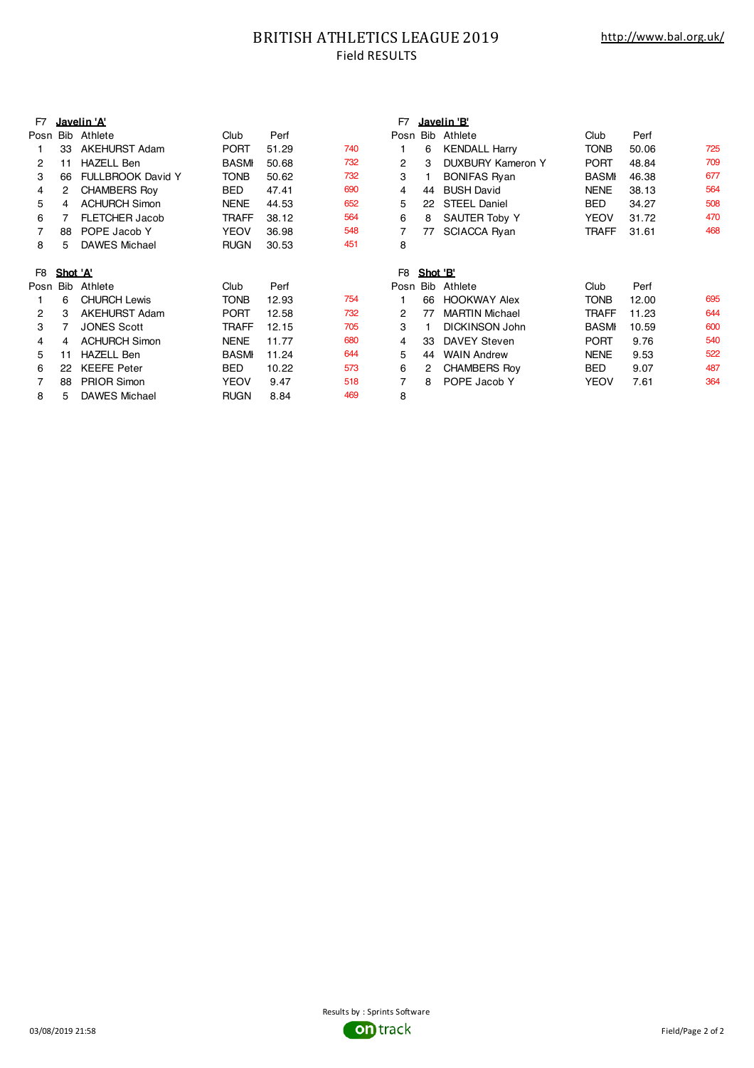### BRITISH ATHLETICS LEAGUE 2019 Field RESULTS

| F7   |          | Javelin 'A'              |              |       |     | F7             |          | <u>Javelin 'B'</u>    |              |       |     |
|------|----------|--------------------------|--------------|-------|-----|----------------|----------|-----------------------|--------------|-------|-----|
| Posn | Bib      | Athlete                  | Club         | Perf  |     | Posn           | Bib      | Athlete               | Club         | Perf  |     |
|      | 33       | <b>AKEHURST Adam</b>     | <b>PORT</b>  | 51.29 | 740 |                | 6        | <b>KENDALL Harry</b>  | <b>TONB</b>  | 50.06 | 725 |
| 2    | 11       | <b>HAZELL Ben</b>        | <b>BASMI</b> | 50.68 | 732 | $\overline{2}$ | 3        | DUXBURY Kameron Y     | <b>PORT</b>  | 48.84 | 709 |
| 3    | 66       | <b>FULLBROOK David Y</b> | TONB         | 50.62 | 732 | 3              |          | <b>BONIFAS Ryan</b>   | <b>BASMI</b> | 46.38 | 677 |
| 4    |          | <b>CHAMBERS Roy</b>      | BED          | 47.41 | 690 | 4              | 44       | <b>BUSH David</b>     | <b>NENE</b>  | 38.13 | 564 |
| 5    | 4        | <b>ACHURCH Simon</b>     | <b>NENE</b>  | 44.53 | 652 | 5              | 22       | <b>STEEL Daniel</b>   | <b>BED</b>   | 34.27 | 508 |
| 6    |          | <b>FLETCHER Jacob</b>    | TRAFF        | 38.12 | 564 | 6              | 8        | <b>SAUTER Toby Y</b>  | <b>YEOV</b>  | 31.72 | 470 |
| 7    | 88       | POPE Jacob Y             | <b>YEOV</b>  | 36.98 | 548 |                | 77       | <b>SCIACCA Ryan</b>   | <b>TRAFF</b> | 31.61 | 468 |
| 8    | 5        | <b>DAWES Michael</b>     | <b>RUGN</b>  | 30.53 | 451 | 8              |          |                       |              |       |     |
| F8   | Shot 'A' |                          |              |       |     | F8             | Shot 'B' |                       |              |       |     |
|      |          |                          |              |       |     |                |          |                       |              |       |     |
| Posn | Bib      | Athlete                  | Club         | Perf  |     | Posn           |          | Bib Athlete           | Club         | Perf  |     |
|      | 6        | <b>CHURCH Lewis</b>      | TONB         | 12.93 | 754 |                | 66       | <b>HOOKWAY Alex</b>   | <b>TONB</b>  | 12.00 | 695 |
| 2    | 3        | <b>AKEHURST Adam</b>     | <b>PORT</b>  | 12.58 | 732 | 2              | 77       | <b>MARTIN Michael</b> | <b>TRAFF</b> | 11.23 | 644 |
| 3    |          | <b>JONES Scott</b>       | <b>TRAFF</b> | 12.15 | 705 | 3              |          | <b>DICKINSON John</b> | <b>BASMI</b> | 10.59 | 600 |
| 4    | 4        | <b>ACHURCH Simon</b>     | <b>NENE</b>  | 11.77 | 680 | 4              | 33       | <b>DAVEY Steven</b>   | <b>PORT</b>  | 9.76  | 540 |
| 5    | 11       | <b>HAZELL Ben</b>        | <b>BASMI</b> | 11.24 | 644 | 5              | 44       | <b>WAIN Andrew</b>    | <b>NENE</b>  | 9.53  | 522 |
| 6    | 22       | <b>KEEFE Peter</b>       | <b>BED</b>   | 10.22 | 573 | 6              | 2        | <b>CHAMBERS Roy</b>   | BED          | 9.07  | 487 |
|      | 88       | <b>PRIOR Simon</b>       | <b>YEOV</b>  | 9.47  | 518 |                | 8        | POPE Jacob Y          | YEOV         | 7.61  | 364 |
| 8    | 5        | <b>DAWES Michael</b>     | <b>RUGN</b>  | 8.84  | 469 | 8              |          |                       |              |       |     |